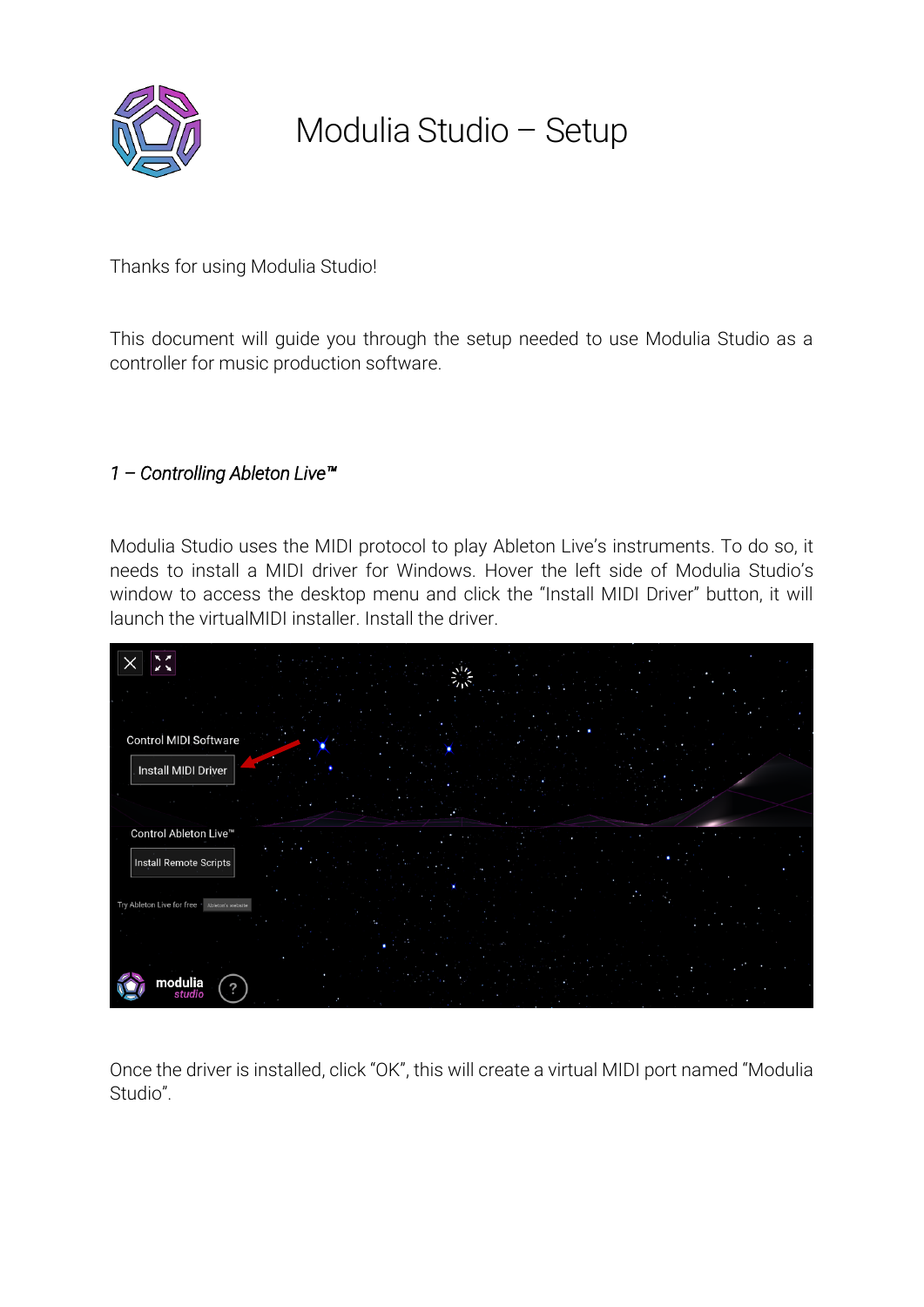

## Modulia Studio – Setup

Thanks for using Modulia Studio!

This document will guide you through the setup needed to use Modulia Studio as a controller for music production software.

## *1 – Controlling Ableton Live™*

Modulia Studio uses the MIDI protocol to play Ableton Live's instruments. To do so, it needs to install a MIDI driver for Windows. Hover the left side of Modulia Studio's window to access the desktop menu and click the "Install MIDI Driver" button, it will launch the virtualMIDI installer. Install the driver.



Once the driver is installed, click "OK", this will create a virtual MIDI port named "Modulia Studio".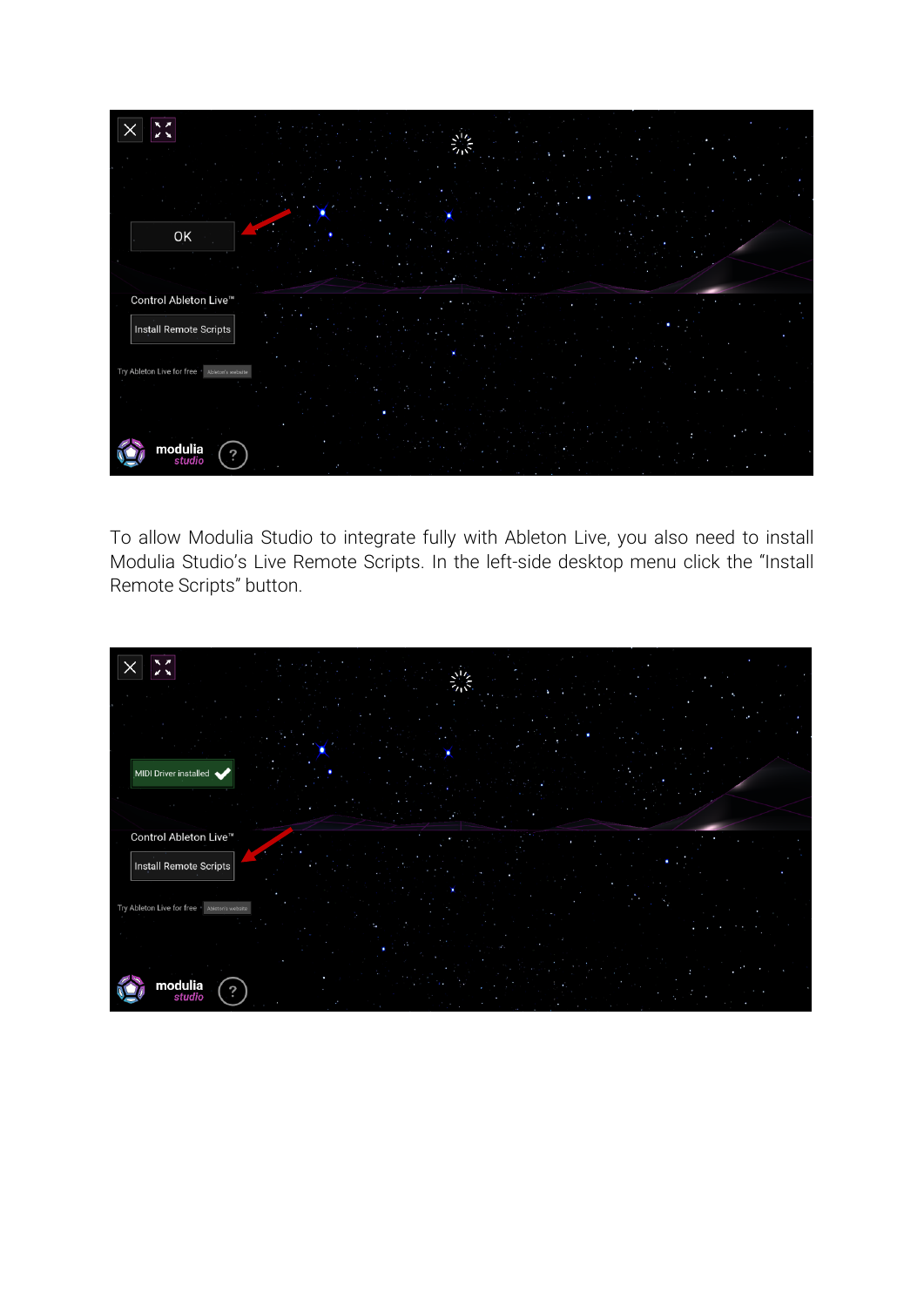

To allow Modulia Studio to integrate fully with Ableton Live, you also need to install Modulia Studio's Live Remote Scripts. In the left-side desktop menu click the "Install Remote Scripts" button.

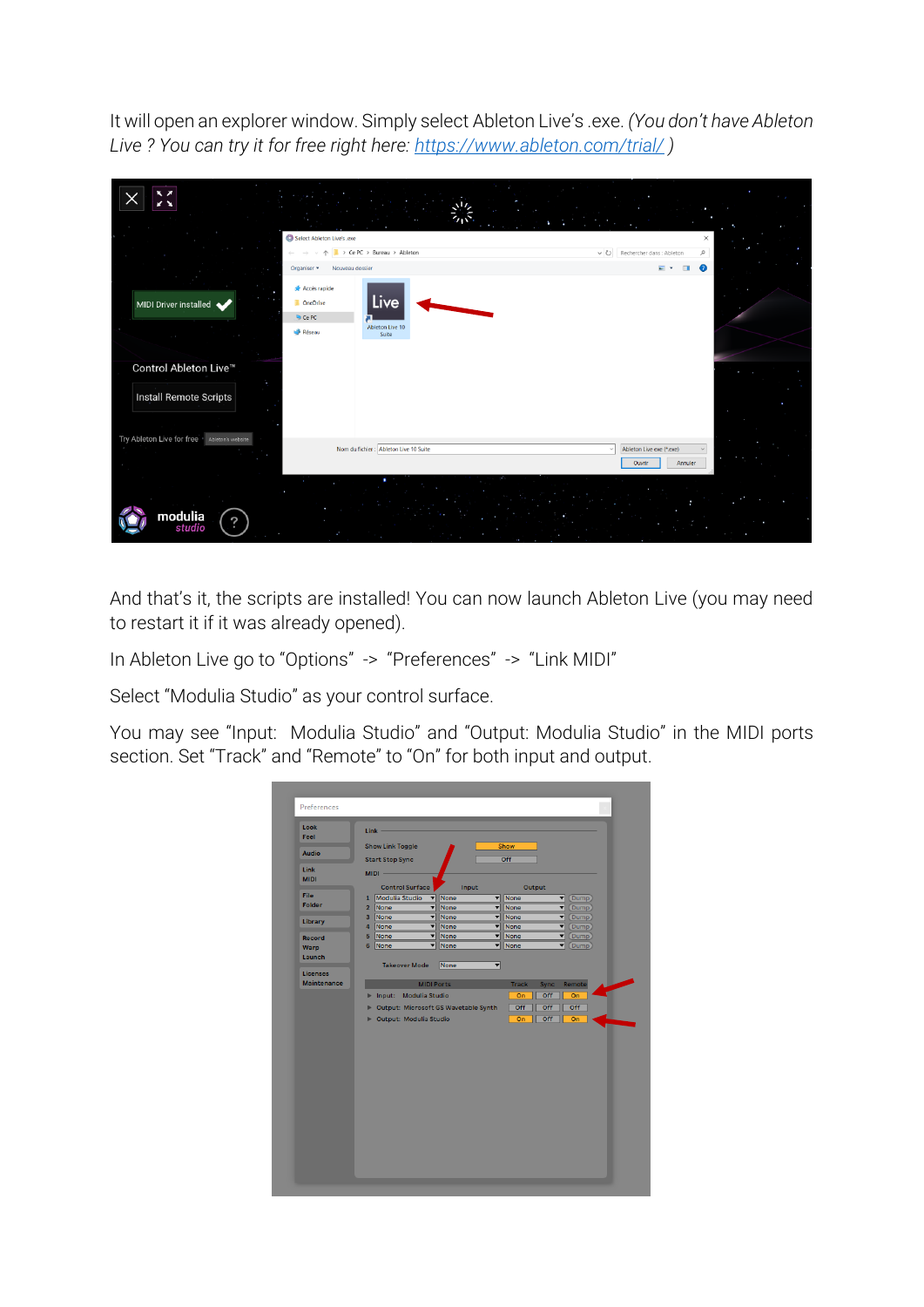It will open an explorer window. Simply select Ableton Live's .exe. *(You don't have Ableton Live ? You can try it for free right here:<https://www.ableton.com/trial/> )*

| <b>K</b> z                                             |                                                                                          |                                                               |
|--------------------------------------------------------|------------------------------------------------------------------------------------------|---------------------------------------------------------------|
|                                                        | Select Ableton Live's .exe<br>> Ce PC > Bureau > Ableton                                 | $\times$<br>↓ ひ Rechercher dans : Ableton<br>مر               |
|                                                        | Nouveau dossier<br>Organiser -                                                           | $\blacksquare$<br>$\Box$                                      |
| MIDI Driver installed                                  | Accès rapide<br>Live<br>OneDrive<br><b>Q</b> Ce PC<br>Ableton Live 10<br>Réseau<br>Suite |                                                               |
| Control Ableton Live™<br><b>Install Remote Scripts</b> |                                                                                          |                                                               |
| Try Ableton Live for free Ableton's website            | Nom du fichier : Ableton Live 10 Suite                                                   | Ableton Live exe (*.exe)<br>$\checkmark$<br>Ouvrir<br>Annuler |
| modulia<br>?<br>studio                                 |                                                                                          |                                                               |

And that's it, the scripts are installed! You can now launch Ableton Live (you may need to restart it if it was already opened).

In Ableton Live go to "Options" -> "Preferences" -> "Link MIDI"

Select "Modulia Studio" as your control surface.

You may see "Input: Modulia Studio" and "Output: Modulia Studio" in the MIDI ports section. Set "Track" and "Remote" to "On" for both input and output.

| Look               | <b>Link</b>                                 |                           |                             |                  |
|--------------------|---------------------------------------------|---------------------------|-----------------------------|------------------|
| Feel               |                                             |                           |                             |                  |
| Audio              | <b>Show Link Toggle</b><br>Show             |                           |                             |                  |
|                    | <b>Start Stop Sync</b>                      |                           | Off                         |                  |
| Link               | $MIDI -$                                    |                           |                             |                  |
| <b>MIDI</b>        | <b>Control Surface</b>                      | Input                     | Output                      |                  |
| <b>File</b>        | 1 Modulia Studio<br>$\overline{\mathbf{v}}$ | None<br>┳                 | None                        | ▼<br>(Dump)      |
| Folder             | None<br>▼<br>$\overline{2}$                 | None                      | <b>v</b> None               | Dump<br>▼        |
|                    | None<br>▼<br>3 <sup>1</sup>                 | None<br>▼                 | None                        | ▼<br>(Dump)      |
| Library            | None<br>▼<br>$\overline{\mathbf{4}}$        | None                      | <b>v</b> None               | ▼<br>(Dump)      |
| Record             | None<br>5                                   | <b>v</b> None             | <b>V</b> None               | ▼<br><b>Dump</b> |
| Warp               | 6<br>None                                   | $\blacktriangledown$ None | <b>v</b> None               | ▼<br>(Dump)      |
| Launch             |                                             |                           |                             |                  |
| <b>Licenses</b>    | <b>Takeover Mode</b>                        | None<br>▼                 |                             |                  |
| <b>Maintenance</b> | <b>MIDI Ports</b>                           |                           | <b>Track</b><br><b>Sync</b> | Remote           |
|                    | Input: Modulia Studio<br>Þ                  |                           | Off<br>On                   | On               |
|                    |                                             |                           |                             |                  |
|                    | Output: Microsoft GS Wavetable Synth<br>Þ   |                           | Off<br>Off                  | Off              |
|                    | <b>Dutput: Modulia Studio</b>               |                           | Off<br>On                   | On               |
|                    |                                             |                           |                             |                  |
|                    |                                             |                           |                             |                  |
|                    |                                             |                           |                             |                  |
|                    |                                             |                           |                             |                  |
|                    |                                             |                           |                             |                  |
|                    |                                             |                           |                             |                  |
|                    |                                             |                           |                             |                  |
|                    |                                             |                           |                             |                  |
|                    |                                             |                           |                             |                  |
|                    |                                             |                           |                             |                  |
|                    |                                             |                           |                             |                  |
|                    |                                             |                           |                             |                  |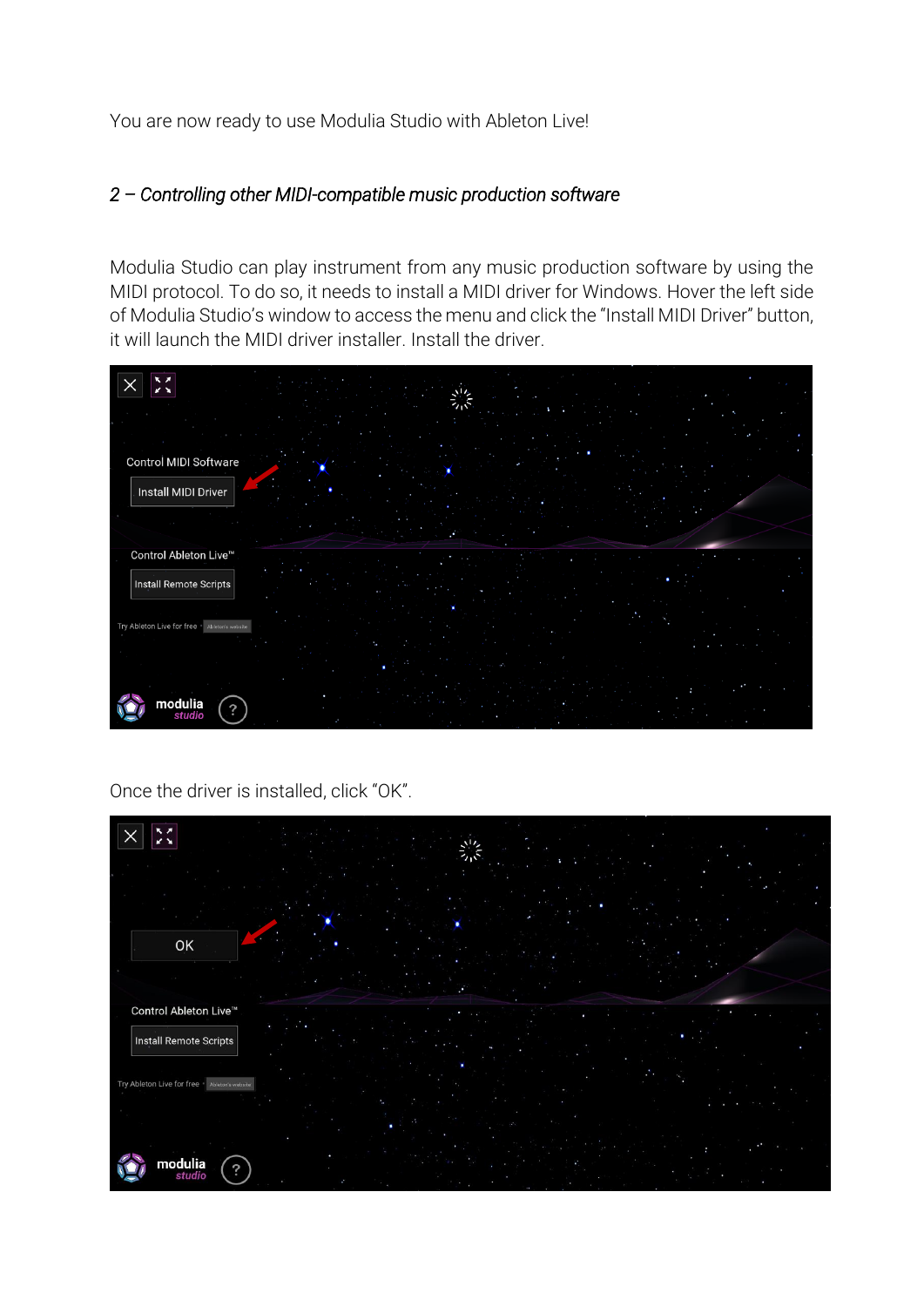You are now ready to use Modulia Studio with Ableton Live!

## *2 – Controlling other MIDI-compatible music production software*

Modulia Studio can play instrument from any music production software by using the MIDI protocol. To do so, it needs to install a MIDI driver for Windows. Hover the left side of Modulia Studio's window to access the menu and click the "Install MIDI Driver" button, it will launch the MIDI driver installer. Install the driver.



Once the driver is installed, click "OK".